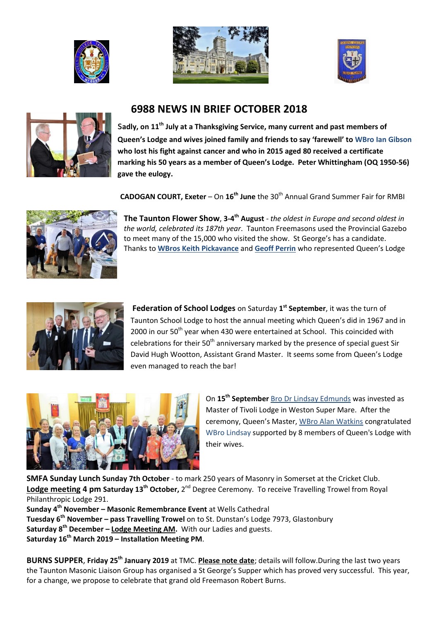







## **6988 NEWS IN BRIEF OCTOBER 2018**

s**adly, on 11th July at a Thanksgiving Service, many current and past members of Queen's Lodge and wives joined family and friends to say 'farewell' to WBro Ian Gibson who lost his fight against cancer and who in 2015 aged 80 received a certificate marking his 50 years as a member of Queen's Lodge. Peter Whittingham (OQ 1950-56) gave the eulogy.**

**CADOGAN COURT, Exeter** – On 16<sup>th</sup> June the 30<sup>th</sup> Annual Grand Summer Fair for RMBI



**The Taunton Flower Show, 3-4<sup>th</sup> August** - the oldest in Europe and second oldest in *the world, celebrated its 187th year*. Taunton Freemasons used the Provincial Gazebo to meet many of the 15,000 who visited the show. St George's has a candidate. Thanks to **WBros Keith Pickavance** and **Geoff Perrin** who represented Queen's Lodge



Federation of School Lodges on Saturday 1<sup>st</sup> September, it was the turn of Taunton School Lodge to host the annual meeting which Queen's did in 1967 and in 2000 in our 50<sup>th</sup> year when 430 were entertained at School. This coincided with celebrations for their  $50<sup>th</sup>$  anniversary marked by the presence of special guest Sir David Hugh Wootton, Assistant Grand Master. It seems some from Queen's Lodge even managed to reach the bar!



On **15th September** Bro Dr Lindsay Edmunds was invested as Master of Tivoli Lodge in Weston Super Mare. After the ceremony, Queen's Master, WBro Alan Watkins congratulated WBro Lindsay supported by 8 members of Queen's Lodge with their wives.

**SMFA Sunday Lunch Sunday 7th October** - to mark 250 years of Masonry in Somerset at the Cricket Club. **Lodge meeting 4 pm Saturday 13<sup>th</sup> October,** 2<sup>nd</sup> Degree Ceremony. To receive Travelling Trowel from Royal Philanthropic Lodge 291.

**Sunday 4th November – Masonic Remembrance Event** at Wells Cathedral **Tuesday 6th November – pass Travelling Trowel** on to St. Dunstan's Lodge 7973, Glastonbury **Saturday 8th December – Lodge Meeting AM.** With our Ladies and guests. **Saturday 16th March 2019 – Installation Meeting PM**.

**BURNS SUPPER**, **Friday 25th January 2019** at TMC. **Please note date**; details will follow.During the last two years the Taunton Masonic Liaison Group has organised a St George's Supper which has proved very successful. This year, for a change, we propose to celebrate that grand old Freemason Robert Burns.